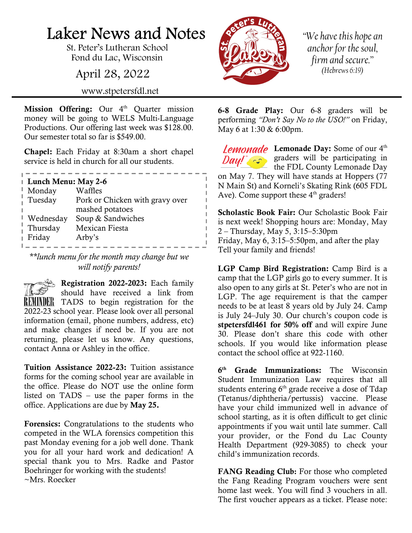## Laker News and Notes

St. Peter's Lutheran School Fond du Lac, Wisconsin

April 28, 2022

www.stpetersfdl.net

Mission Offering: Our  $4<sup>th</sup>$  Quarter mission money will be going to WELS Multi-Language Productions. Our offering last week was \$128.00. Our semester total so far is \$549.00.

Chapel: Each Friday at 8:30am a short chapel service is held in church for all our students.

\_\_\_\_\_\_\_\_\_\_\_\_\_\_\_\_\_\_

| Lunch Menu: May 2-6 |                                 |
|---------------------|---------------------------------|
| Monday              | Waffles                         |
| Tuesday             | Pork or Chicken with gravy over |
|                     | mashed potatoes                 |
| Wednesday           | Soup & Sandwiches               |
| Thursday            | Mexican Fiesta                  |
| Friday              | Arby's                          |
|                     |                                 |

\*\*lunch menu for the month may change but we will notify parents!

 $\leq$  Registration 2022-2023: Each family should have received a link from REMINDER TADS to begin registration for the 2022-23 school year. Please look over all personal information (email, phone numbers, address, etc) and make changes if need be. If you are not returning, please let us know. Any questions, contact Anna or Ashley in the office.

Tuition Assistance 2022-23: Tuition assistance forms for the coming school year are available in the office. Please do NOT use the online form listed on TADS – use the paper forms in the office. Applications are due by May 25.

Forensics: Congratulations to the students who competed in the WLA forensics competition this past Monday evening for a job well done. Thank you for all your hard work and dedication! A special thank you to Mrs. Radke and Pastor Boehringer for working with the students! ~Mrs. Roecker



 $\mathbb{I}$  $\mathbb{L}$  $\mathbb{L}$  "We have this hope an anchor for the soul, firm and secure." (Hebrews 6:19)

6-8 Grade Play: Our 6-8 graders will be performing "Don't Say No to the USO!" on Friday, May 6 at 1:30 & 6:00pm.

Lemonade Day: Some of our 4<sup>th</sup> graders will be participating in the FDL County Lemonade Day on May 7. They will have stands at Hoppers (77 N Main St) and Korneli's Skating Rink (605 FDL Ave). Come support these  $4<sup>th</sup>$  graders!

Scholastic Book Fair: Our Scholastic Book Fair is next week! Shopping hours are: Monday, May 2 – Thursday, May 5, 3:15–5:30pm Friday, May 6, 3:15–5:50pm, and after the play Tell your family and friends!

LGP Camp Bird Registration: Camp Bird is a camp that the LGP girls go to every summer. It is also open to any girls at St. Peter's who are not in LGP. The age requirement is that the camper needs to be at least 8 years old by July 24. Camp is July 24–July 30. Our church's coupon code is stpetersfdl461 for 50% off and will expire June 30. Please don't share this code with other schools. If you would like information please contact the school office at 922-1160.

 $6<sup>th</sup>$ Grade Immunizations: The Wisconsin Student Immunization Law requires that all students entering  $6<sup>th</sup>$  grade receive a dose of Tdap (Tetanus/diphtheria/pertussis) vaccine. Please have your child immunized well in advance of school starting, as it is often difficult to get clinic appointments if you wait until late summer. Call your provider, or the Fond du Lac County Health Department (929-3085) to check your child's immunization records.

FANG Reading Club: For those who completed the Fang Reading Program vouchers were sent home last week. You will find 3 vouchers in all. The first voucher appears as a ticket. Please note: